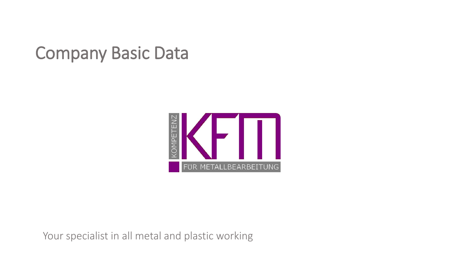### Company Basic Data



Your specialist in all metal and plastic working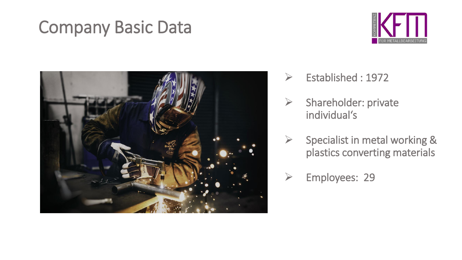### Company Basic Data





- ➢ Established : 1972
- ➢ Shareholder: private individual's
- $\triangleright$  Specialist in metal working & plastics converting materials
- ➢ Employees: 29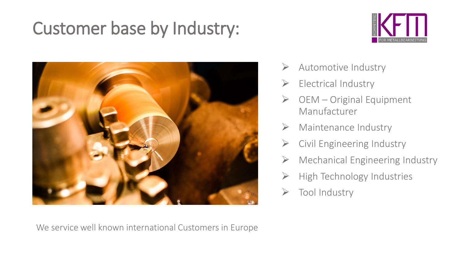# Customer base by Industry:





- ➢ Automotive Industry
- $\triangleright$  Electrical Industry
- $\triangleright$  OEM Original Equipment Manufacturer
- $\triangleright$  Maintenance Industry
- $\triangleright$  Civil Engineering Industry
- $\triangleright$  Mechanical Engineering Industry
- ➢ High Technology Industries
- ➢ Tool Industry

We service well known international Customers in Europe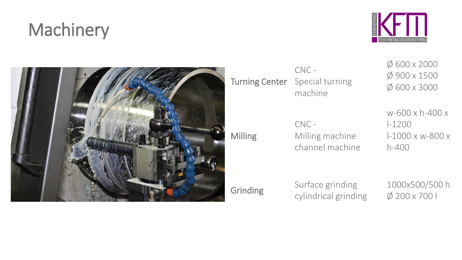# **Machinery**





Turning Center CNC - Special turning machine

Milling

CNC - Milling machine channel machine Ø 600 x 2000 Ø 900 x 1500 Ø 600 x 3000

w-600 x h-400 x l-1200 l-1000 x w-800 x h-400

Grinding Surface grinding cylindrical grinding 1000x500/500 h Ø 200 x 700 l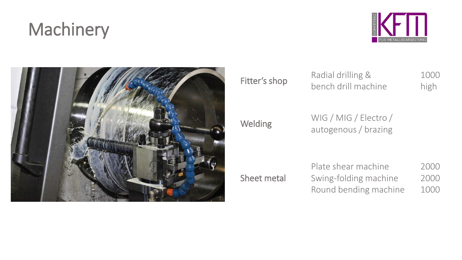# **Machinery**





Fitter's shop<br>
Radial drilling & bench drill machine

1000 high

WIG / MIG / Electro /<br>
WIG / MIG / Electro / autogenous / brazing

Sheet metal Plate shear machine Swing-folding machine Round bending machine

2000 2000 1000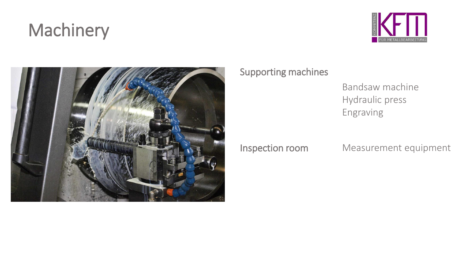# **Machinery**





#### Supporting machines

#### Bandsaw machine Hydraulic press Engraving

Inspection room Measurement equipment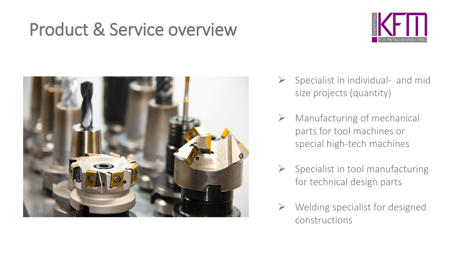## Product & Service overview





- $\triangleright$  Specialist in individual- and mid size projects (quantity)
- $\triangleright$  Manufacturing of mechanical parts for tool machines or special high-tech machines
- $\triangleright$  Specialist in tool manufacturing for technical design parts
- $\triangleright$  Welding specialist for designed constructions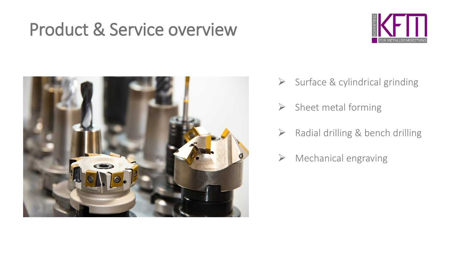## Product & Service overview





- ➢ Surface & cylindrical grinding
- $\triangleright$  Sheet metal forming
- ➢ Radial drilling & bench drilling
- $\triangleright$  Mechanical engraving